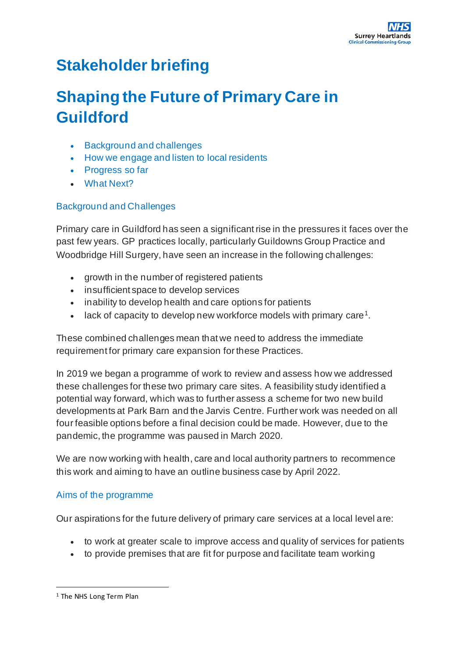# **Stakeholder briefing**

# **Shaping the Future of Primary Care in Guildford**

- [Background and challenges](https://www.surreyheartlandsccg.nhs.uk/get-involved/primary-care/health-and-primary-care-in-guildford#Background)
- [How we engage and listen to local residents](https://www.surreyheartlandsccg.nhs.uk/get-involved/primary-care/health-and-primary-care-in-guildford#HowWeEngage)
- [Progress so far](https://www.surreyheartlandsccg.nhs.uk/get-involved/primary-care/health-and-primary-care-in-guildford#Progress)
- [What Next?](https://www.surreyheartlandsccg.nhs.uk/get-involved/primary-care/health-and-primary-care-in-guildford#WhatNext)

## Background and Challenges

Primary care in Guildford has seen a significant rise in the pressures it faces over the past few years. GP practices locally, particularly Guildowns Group Practice and Woodbridge Hill Surgery, have seen an increase in the following challenges:

- growth in the number of registered patients
- insufficient space to develop services
- inability to develop health and care options for patients
- lack of capacity to develop new workforce models with primary care<sup>1</sup>.

These combined challenges mean that we need to address the immediate requirement for primary care expansion for these Practices.

In 2019 we began a programme of work to review and assess how we addressed these challenges for these two primary care sites. A feasibility study identified a potential way forward, which was to further assess a scheme for two new build developments at Park Barn and the Jarvis Centre. Further work was needed on all four feasible options before a final decision could be made. However, due to the pandemic, the programme was paused in March 2020.

We are now working with health, care and local authority partners to recommence this work and aiming to have an outline business case by April 2022.

#### Aims of the programme

Our aspirations for the future delivery of primary care services at a local level are:

- to work at greater scale to improve access and quality of services for patients
- to provide premises that are fit for purpose and facilitate team working

<sup>1</sup> The NHS Long Term Plan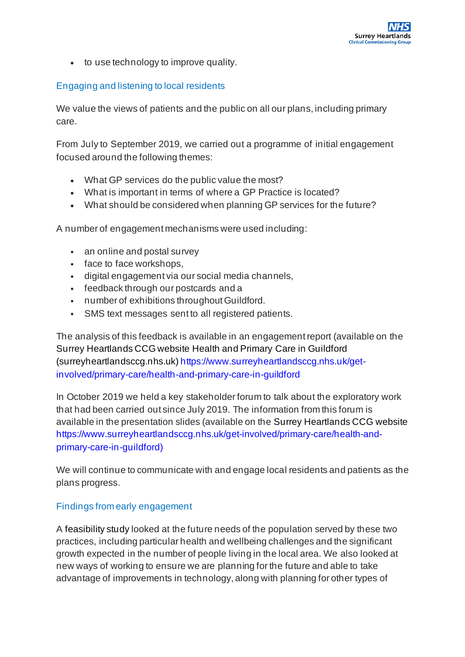• to use technology to improve quality.

#### Engaging and listening to local residents

We value the views of patients and the public on all our plans, including primary care.

From July to September 2019, we carried out a programme of initial engagement focused around the following themes:

- What GP services do the public value the most?
- What is important in terms of where a GP Practice is located?
- What should be considered when planning GP services for the future?

A number of engagement mechanisms were used including:

- an online and postal survey
- face to face workshops,
- digital engagement via our social media channels,
- feedback through our postcards and a
- number of exhibitions throughout Guildford.
- SMS text messages sent to all registered patients.

The analysis of this feedback is available in an engagement report (available on the Surrey Heartlands CCG website Health and Primary Care in Guildford (surreyheartlandsccg.nhs.uk) https://www.surreyheartlandsccg.nhs.uk/getinvolved/primary-care/health-and-primary-care-in-guildford

In October 2019 we held a key stakeholder forum to talk about the exploratory work that had been carried out since July 2019. The information from this forum is available in the presentation slides (available on the Surrey Heartlands CCG website https://www.surreyheartlandsccg.nhs.uk/get-involved/primary-care/health-andprimary-care-in-guildford)

We will continue to communicate with and engage local residents and patients as the plans progress.

#### Findings from early engagement

A feasibility study looked at the future needs of the population served by these two practices, including particular health and wellbeing challenges and the significant growth expected in the number of people living in the local area. We also looked at new ways of working to ensure we are planning for the future and able to take advantage of improvements in technology, along with planning for other types of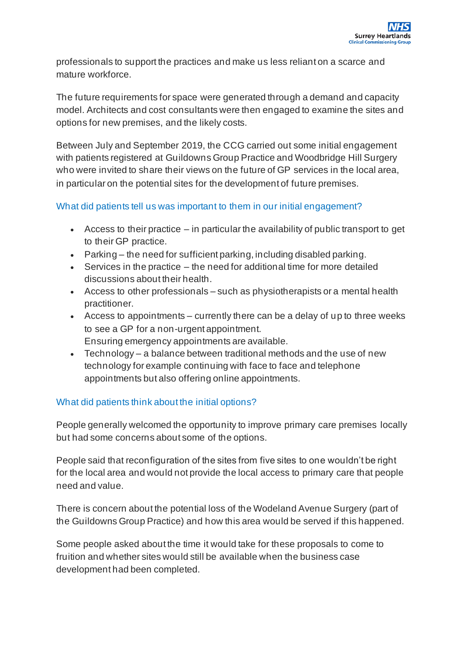professionals to support the practices and make us less reliant on a scarce and mature workforce.

The future requirements for space were generated through a demand and capacity model. Architects and cost consultants were then engaged to examine the sites and options for new premises, and the likely costs.

Between July and September 2019, the CCG carried out some initial engagement with patients registered at Guildowns Group Practice and Woodbridge Hill Surgery who were invited to share their views on the future of GP services in the local area, in particular on the potential sites for the development of future premises.

#### What did patients tell us was important to them in our initial engagement?

- $\bullet$  Access to their practice  $-$  in particular the availability of public transport to get to their GP practice.
- Parking the need for sufficient parking, including disabled parking.
- Services in the practice the need for additional time for more detailed discussions about their health.
- Access to other professionals such as physiotherapists or a mental health practitioner.
- Access to appointments currently there can be a delay of up to three weeks to see a GP for a non-urgent appointment. Ensuring emergency appointments are available.
- Technology a balance between traditional methods and the use of new technology for example continuing with face to face and telephone appointments but also offering online appointments.

## What did patients think about the initial options?

People generally welcomed the opportunity to improve primary care premises locally but had some concerns about some of the options.

People said that reconfiguration of the sites from five sites to one wouldn't be right for the local area and would not provide the local access to primary care that people need and value.

There is concern about the potential loss of the Wodeland Avenue Surgery (part of the Guildowns Group Practice) and how this area would be served if this happened.

Some people asked about the time it would take for these proposals to come to fruition and whether sites would still be available when the business case development had been completed.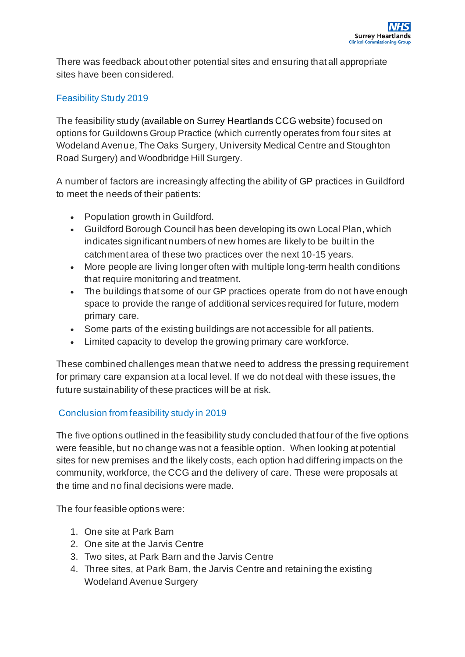There was feedback about other potential sites and ensuring that all appropriate sites have been considered.

#### Feasibility Study 2019

The feasibility study (available on Surrey Heartlands CCG website) focused on options for Guildowns Group Practice (which currently operates from four sites at Wodeland Avenue, The Oaks Surgery, University Medical Centre and Stoughton Road Surgery) and Woodbridge Hill Surgery.

A number of factors are increasingly affecting the ability of GP practices in Guildford to meet the needs of their patients:

- Population growth in Guildford.
- Guildford Borough Council has been developing its own Local Plan, which indicates significant numbers of new homes are likely to be built in the catchment area of these two practices over the next 10-15 years.
- More people are living longer often with multiple long-term health conditions that require monitoring and treatment.
- The buildings that some of our GP practices operate from do not have enough space to provide the range of additional services required for future, modern primary care.
- Some parts of the existing buildings are not accessible for all patients.
- Limited capacity to develop the growing primary care workforce.

These combined challenges mean that we need to address the pressing requirement for primary care expansion at a local level. If we do not deal with these issues, the future sustainability of these practices will be at risk.

## Conclusion from feasibility study in 2019

The five options outlined in the feasibility study concluded that four of the five options were feasible, but no change was not a feasible option. When looking at potential sites for new premises and the likely costs, each option had differing impacts on the community, workforce, the CCG and the delivery of care. These were proposals at the time and no final decisions were made.

The four feasible options were:

- 1. One site at Park Barn
- 2. One site at the Jarvis Centre
- 3. Two sites, at Park Barn and the Jarvis Centre
- 4. Three sites, at Park Barn, the Jarvis Centre and retaining the existing Wodeland Avenue Surgery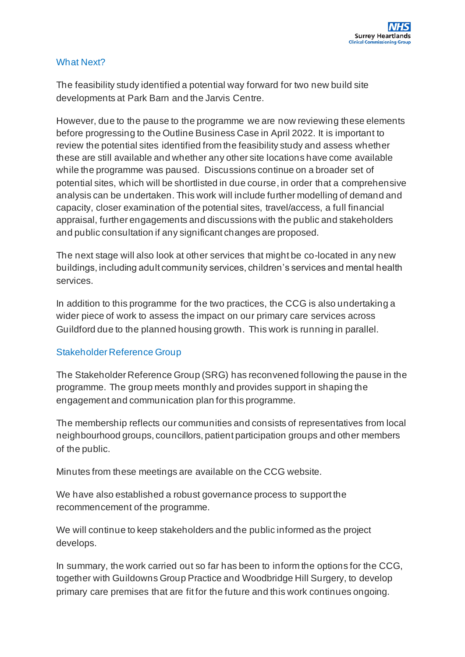#### What Next?

The feasibility study identified a potential way forward for two new build site developments at Park Barn and the Jarvis Centre.

However, due to the pause to the programme we are now reviewing these elements before progressing to the Outline Business Case in April 2022. It is important to review the potential sites identified from the feasibility study and assess whether these are still available and whether any other site locations have come available while the programme was paused. Discussions continue on a broader set of potential sites, which will be shortlisted in due course, in order that a comprehensive analysis can be undertaken. This work will include further modelling of demand and capacity, closer examination of the potential sites, travel/access, a full financial appraisal, further engagements and discussions with the public and stakeholders and public consultation if any significant changes are proposed.

The next stage will also look at other services that might be co-located in any new buildings, including adult community services, children's services and mental health services.

In addition to this programme for the two practices, the CCG is also undertaking a wider piece of work to assess the impact on our primary care services across Guildford due to the planned housing growth. This work is running in parallel.

## Stakeholder Reference Group

The Stakeholder Reference Group (SRG) has reconvened following the pause in the programme. The group meets monthly and provides support in shaping the engagement and communication plan for this programme.

The membership reflects our communities and consists of representatives from local neighbourhood groups, councillors, patient participation groups and other members of the public.

Minutes from these meetings are availabl[e on](https://www.surreyheartlandsccg.nhs.uk/get-involved/primary-care/health-and-primary-care-in-guildford) the CCG website.

We have also established a robust governance process to support the recommencement of the programme.

We will continue to keep stakeholders and the public informed as the project develops.

In summary, the work carried out so far has been to inform the options for the CCG, together with Guildowns Group Practice and Woodbridge Hill Surgery, to develop primary care premises that are fit for the future and this work continues ongoing.